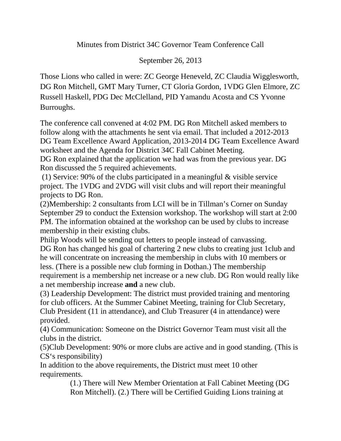Minutes from District 34C Governor Team Conference Call

## September 26, 2013

Those Lions who called in were: ZC George Heneveld, ZC Claudia Wigglesworth, DG Ron Mitchell, GMT Mary Turner, CT Gloria Gordon, 1VDG Glen Elmore, ZC Russell Haskell, PDG Dec McClelland, PID Yamandu Acosta and CS Yvonne Burroughs.

The conference call convened at 4:02 PM. DG Ron Mitchell asked members to follow along with the attachments he sent via email. That included a 2012-2013 DG Team Excellence Award Application, 2013-2014 DG Team Excellence Award worksheet and the Agenda for District 34C Fall Cabinet Meeting.

DG Ron explained that the application we had was from the previous year. DG Ron discussed the 5 required achievements.

(1) Service: 90% of the clubs participated in a meaningful & visible service project. The 1VDG and 2VDG will visit clubs and will report their meaningful projects to DG Ron.

(2)Membership: 2 consultants from LCI will be in Tillman's Corner on Sunday September 29 to conduct the Extension workshop. The workshop will start at 2:00 PM. The information obtained at the workshop can be used by clubs to increase membership in their existing clubs.

Philip Woods will be sending out letters to people instead of canvassing. DG Ron has changed his goal of chartering 2 new clubs to creating just 1club and he will concentrate on increasing the membership in clubs with 10 members or less. (There is a possible new club forming in Dothan.) The membership requirement is a membership net increase or a new club. DG Ron would really like a net membership increase **and** a new club.

(3) Leadership Development: The district must provided training and mentoring for club officers. At the Summer Cabinet Meeting, training for Club Secretary, Club President (11 in attendance), and Club Treasurer (4 in attendance) were provided.

(4) Communication: Someone on the District Governor Team must visit all the clubs in the district.

(5)Club Development: 90% or more clubs are active and in good standing. (This is CS's responsibility)

In addition to the above requirements, the District must meet 10 other requirements.

(1.) There will New Member Orientation at Fall Cabinet Meeting (DG Ron Mitchell). (2.) There will be Certified Guiding Lions training at